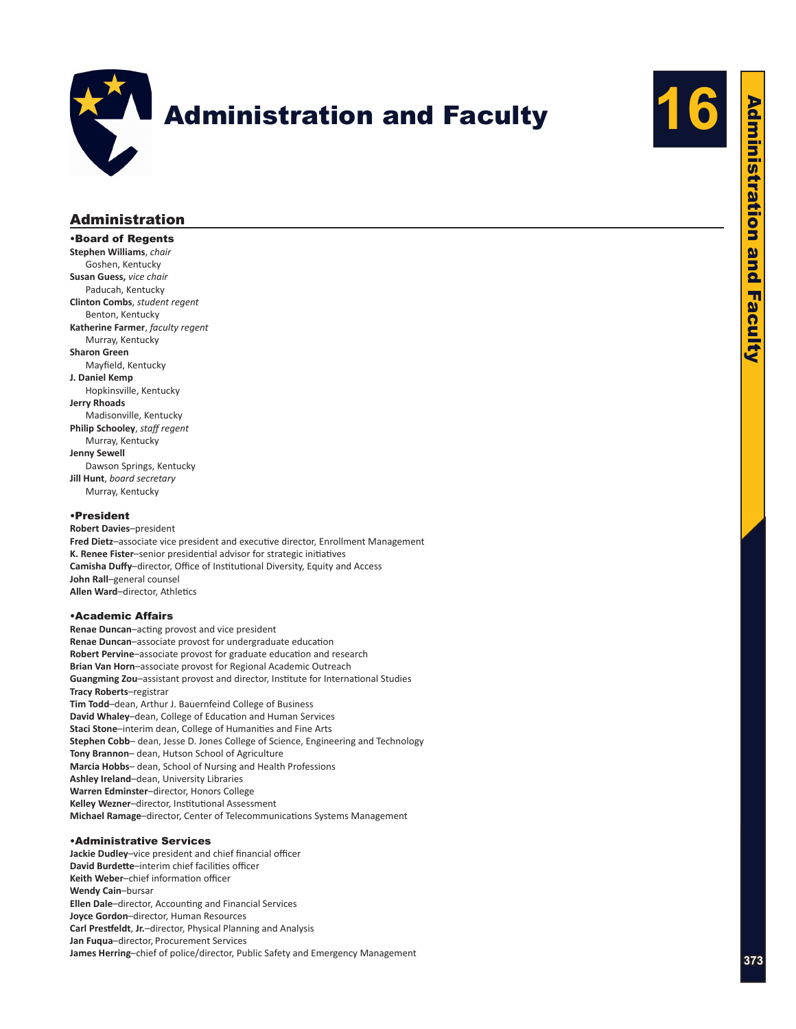



# Administration

•Board of Regents **Stephen Williams**, *chair* Goshen, Kentucky **Susan Guess,** *vice chair* Paducah, Kentucky **Clinton Combs**, *student regent* Benton, Kentucky **Katherine Farmer**, *faculty regent* Murray, Kentucky **Sharon Green** Mayfield, Kentucky **J. Daniel Kemp** Hopkinsville, Kentucky **Jerry Rhoads** Madisonville, Kentucky **Philip Schooley**, *staff regent* Murray, Kentucky **Jenny Sewell** Dawson Springs, Kentucky **Jill Hunt**, *board secretary* Murray, Kentucky

#### •President

**Robert Davies**–president **Fred Dietz**–associate vice president and executive director, Enrollment Management **K. Renee Fister**–senior presidential advisor for strategic initiatives **Camisha Duffy**–director, Office of Institutional Diversity, Equity and Access **John Rall**–general counsel **Allen Ward**–director, Athletics

### •Academic Affairs

**Renae Duncan**–acting provost and vice president **Renae Duncan**–associate provost for undergraduate education **Robert Pervine**–associate provost for graduate education and research **Brian Van Horn**–associate provost for Regional Academic Outreach **Guangming Zou**–assistant provost and director, Institute for International Studies **Tracy Roberts**–registrar **Tim Todd**–dean, Arthur J. Bauernfeind College of Business **David Whaley**–dean, College of Education and Human Services **Staci Stone**–interim dean, College of Humanities and Fine Arts **Stephen Cobb**– dean, Jesse D. Jones College of Science, Engineering and Technology **Tony Brannon**– dean, Hutson School of Agriculture **Marcia Hobbs**– dean, School of Nursing and Health Professions **Ashley Ireland**–dean, University Libraries **Warren Edminster**–director, Honors College **Kelley Wezner**–director, Institutional Assessment **Michael Ramage**–director, Center of Telecommunications Systems Management

### •Administrative Services

**Jackie Dudley**–vice president and chief financial officer **David Burdette**–interim chief facilities officer **Keith Weber**–chief information officer **Wendy Cain**–bursar **Ellen Dale**–director, Accounting and Financial Services **Joyce Gordon**–director, Human Resources **Carl Prestfeldt**, **Jr.**–director, Physical Planning and Analysis **Jan Fuqua**–director, Procurement Services **James Herring**–chief of police/director, Public Safety and Emergency Management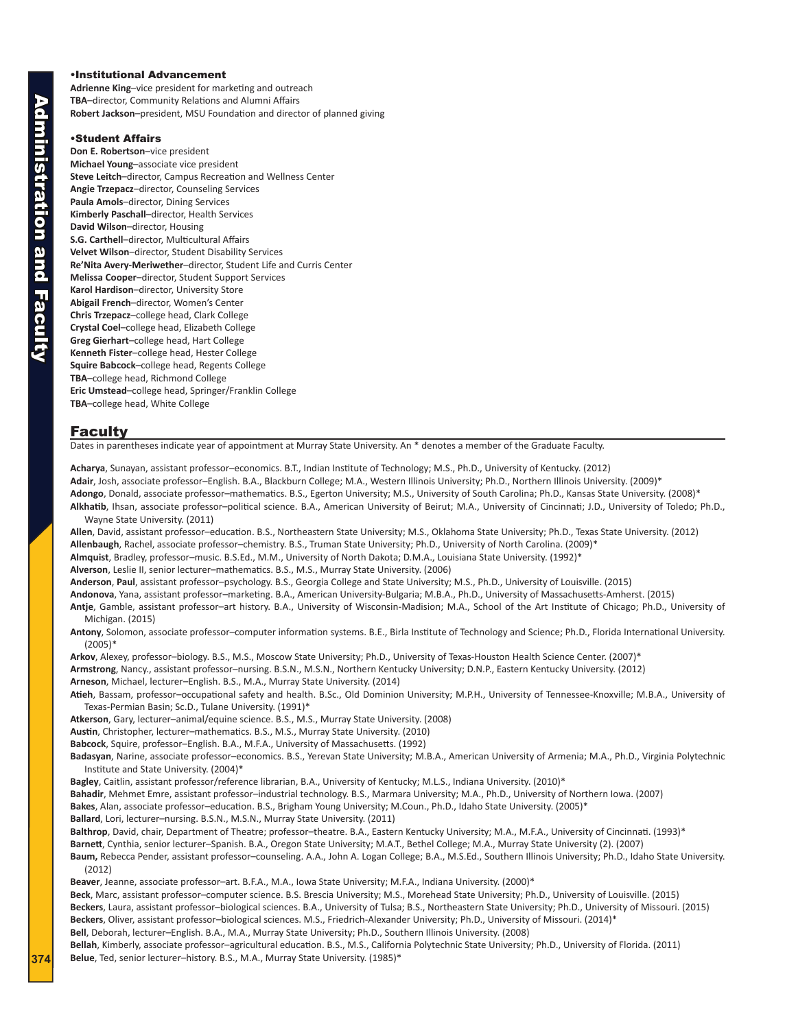### •Institutional Advancement

**Adrienne King**–vice president for marketing and outreach **TBA**–director, Community Relations and Alumni Affairs **Robert Jackson**–president, MSU Foundation and director of planned giving

#### •Student Affairs

**Don E. Robertson**–vice president **Michael Young**–associate vice president **Steve Leitch**–director, Campus Recreation and Wellness Center **Angie Trzepacz**–director, Counseling Services **Paula Amols**–director, Dining Services **Kimberly Paschall**–director, Health Services **David Wilson**–director, Housing **S.G. Carthell**–director, Multicultural Affairs **Velvet Wilson**–director, Student Disability Services **Re'Nita Avery-Meriwether**–director, Student Life and Curris Center **Melissa Cooper**–director, Student Support Services **Karol Hardison**–director, University Store **Abigail French**–director, Women's Center **Chris Trzepacz**–college head, Clark College **Crystal Coel**–college head, Elizabeth College **Greg Gierhart**–college head, Hart College **Kenneth Fister**–college head, Hester College **Squire Babcock**–college head, Regents College **TBA**–college head, Richmond College **Eric Umstead**–college head, Springer/Franklin College **TBA**–college head, White College

#### Faculty

Dates in parentheses indicate year of appointment at Murray State University. An \* denotes a member of the Graduate Faculty.

**Acharya**, Sunayan, assistant professor–economics. B.T., Indian Institute of Technology; M.S., Ph.D., University of Kentucky. (2012) **Adair**, Josh, associate professor–English. B.A., Blackburn College; M.A., Western Illinois University; Ph.D., Northern Illinois University. (2009)\* **Adongo**, Donald, associate professor–mathematics. B.S., Egerton University; M.S., University of South Carolina; Ph.D., Kansas State University. (2008)\* **Alkhatib**, Ihsan, associate professor–political science. B.A., American University of Beirut; M.A., University of Cincinnati; J.D., University of Toledo; Ph.D.,

Wayne State University. (2011)

**Allen**, David, assistant professor–education. B.S., Northeastern State University; M.S., Oklahoma State University; Ph.D., Texas State University. (2012) **Allenbaugh**, Rachel, associate professor–chemistry. B.S., Truman State University; Ph.D., University of North Carolina. (2009)\* **Almquist**, Bradley, professor–music. B.S.Ed., M.M., University of North Dakota; D.M.A., Louisiana State University. (1992)\*

**Alverson**, Leslie II, senior lecturer–mathematics. B.S., M.S., Murray State University. (2006)

**Anderson**, **Paul**, assistant professor–psychology. B.S., Georgia College and State University; M.S., Ph.D., University of Louisville. (2015)

**Andonova**, Yana, assistant professor–marketing. B.A., American University-Bulgaria; M.B.A., Ph.D., University of Massachusetts-Amherst. (2015) **Antje**, Gamble, assistant professor–art history. B.A., University of Wisconsin-Madision; M.A., School of the Art Institute of Chicago; Ph.D., University of Michigan. (2015)

**Antony**, Solomon, associate professor–computer information systems. B.E., Birla Institute of Technology and Science; Ph.D., Florida International University. (2005)\*

**Arkov**, Alexey, professor–biology. B.S., M.S., Moscow State University; Ph.D., University of Texas-Houston Health Science Center. (2007)\* **Armstrong**, Nancy., assistant professor–nursing. B.S.N., M.S.N., Northern Kentucky University; D.N.P., Eastern Kentucky University. (2012) **Arneson**, Michael, lecturer–English. B.S., M.A., Murray State University. (2014)

**Atieh**, Bassam, professor–occupational safety and health. B.Sc., Old Dominion University; M.P.H., University of Tennessee-Knoxville; M.B.A., University of Texas-Permian Basin; Sc.D., Tulane University. (1991)\*

**Atkerson**, Gary, lecturer–animal/equine science. B.S., M.S., Murray State University. (2008)

**Austin**, Christopher, lecturer–mathematics. B.S., M.S., Murray State University. (2010)

**Babcock**, Squire, professor–English. B.A., M.F.A., University of Massachusetts. (1992)

**Badasyan**, Narine, associate professor–economics. B.S., Yerevan State University; M.B.A., American University of Armenia; M.A., Ph.D., Virginia Polytechnic Institute and State University. (2004)\*

**Bagley**, Caitlin, assistant professor/reference librarian, B.A., University of Kentucky; M.L.S., Indiana University. (2010)\*

**Bahadir**, Mehmet Emre, assistant professor–industrial technology. B.S., Marmara University; M.A., Ph.D., University of Northern Iowa. (2007)

**Bakes**, Alan, associate professor–education. B.S., Brigham Young University; M.Coun., Ph.D., Idaho State University. (2005)\*

**Ballard**, Lori, lecturer–nursing. B.S.N., M.S.N., Murray State University. (2011)

**Balthrop**, David, chair, Department of Theatre; professor–theatre. B.A., Eastern Kentucky University; M.A., M.F.A., University of Cincinnati. (1993)\*

**Barnett**, Cynthia, senior lecturer–Spanish. B.A., Oregon State University; M.A.T., Bethel College; M.A., Murray State University (2). (2007)

**Baum,** Rebecca Pender, assistant professor–counseling. A.A., John A. Logan College; B.A., M.S.Ed., Southern Illinois University; Ph.D., Idaho State University. (2012)

**Beaver**, Jeanne, associate professor–art. B.F.A., M.A., Iowa State University; M.F.A., Indiana University. (2000)\*

**Beck**, Marc, assistant professor–computer science. B.S. Brescia University; M.S., Morehead State University; Ph.D., University of Louisville. (2015) **Beckers**, Laura, assistant professor–biological sciences. B.A., University of Tulsa; B.S., Northeastern State University; Ph.D., University of Missouri. (2015) **Beckers**, Oliver, assistant professor–biological sciences. M.S., Friedrich-Alexander University; Ph.D., University of Missouri. (2014)\*

**Bell**, Deborah, lecturer–English. B.A., M.A., Murray State University; Ph.D., Southern Illinois University. (2008)

**Bellah**, Kimberly, associate professor–agricultural education. B.S., M.S., California Polytechnic State University; Ph.D., University of Florida. (2011) **Belue**, Ted, senior lecturer–history. B.S., M.A., Murray State University. (1985)\*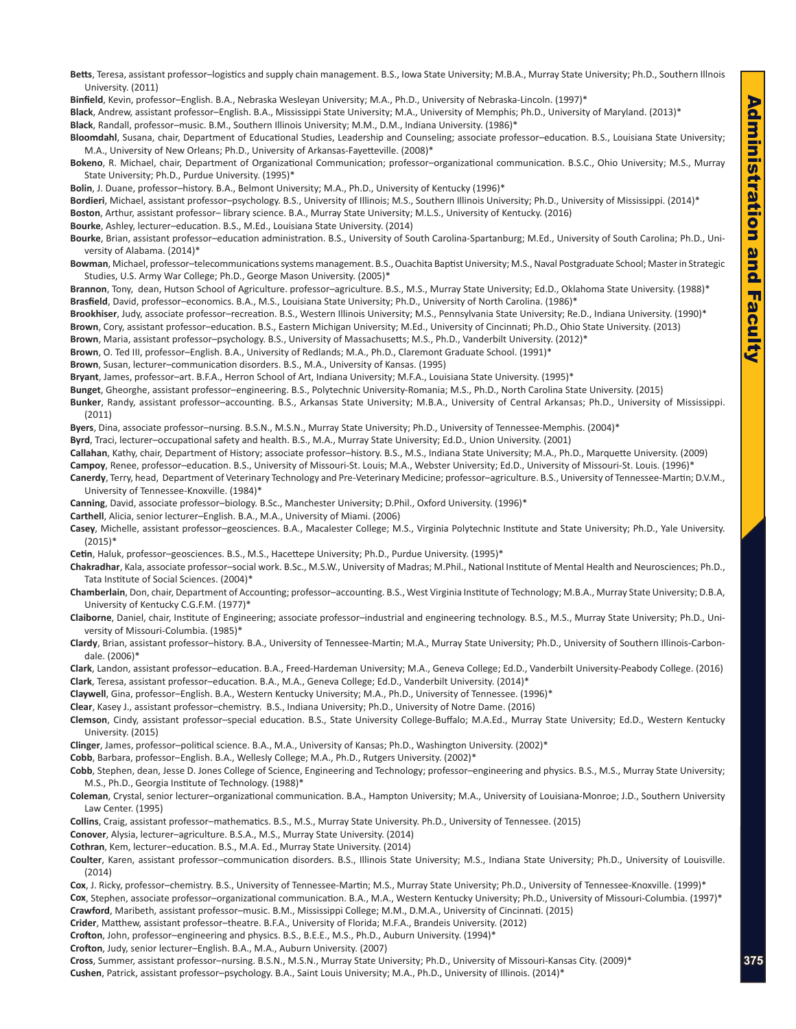**Betts**, Teresa, assistant professor–logistics and supply chain management. B.S., Iowa State University; M.B.A., Murray State University; Ph.D., Southern Illnois University. (2011)

**Binfield**, Kevin, professor–English. B.A., Nebraska Wesleyan University; M.A., Ph.D., University of Nebraska-Lincoln. (1997)\*

**Black**, Andrew, assistant professor–English. B.A., Mississippi State University; M.A., University of Memphis; Ph.D., University of Maryland. (2013)\*

**Black**, Randall, professor–music. B.M., Southern Illinois University; M.M., D.M., Indiana University. (1986)\*

**Bloomdahl**, Susana, chair, Department of Educational Studies, Leadership and Counseling; associate professor–education. B.S., Louisiana State University; M.A., University of New Orleans; Ph.D., University of Arkansas-Fayetteville. (2008)\*

**Bokeno**, R. Michael, chair, Department of Organizational Communication; professor–organizational communication. B.S.C., Ohio University; M.S., Murray State University; Ph.D., Purdue University. (1995)\*

**Bolin**, J. Duane, professor–history. B.A., Belmont University; M.A., Ph.D., University of Kentucky (1996)\*

**Bordieri**, Michael, assistant professor–psychology. B.S., University of Illinois; M.S., Southern Illinois University; Ph.D., University of Mississippi. (2014)\* **Boston**, Arthur, assistant professor– library science. B.A., Murray State University; M.L.S., University of Kentucky. (2016)

**Bourke**, Ashley, lecturer–education. B.S., M.Ed., Louisiana State University. (2014)

**Bourke**, Brian, assistant professor–education administration. B.S., University of South Carolina-Spartanburg; M.Ed., University of South Carolina; Ph.D., University of Alabama. (2014)\*

**Bowman**, Michael, professor–telecommunications systems management. B.S., Ouachita Baptist University; M.S., Naval Postgraduate School; Master in Strategic Studies, U.S. Army War College; Ph.D., George Mason University. (2005)\*

**Brannon**, Tony, dean, Hutson School of Agriculture. professor–agriculture. B.S., M.S., Murray State University; Ed.D., Oklahoma State University. (1988)\* **Brasfield**, David, professor–economics. B.A., M.S., Louisiana State University; Ph.D., University of North Carolina. (1986)\*

Brookhiser, Judy, associate professor-recreation. B.S., Western Illinois University; M.S., Pennsylvania State University; Re.D., Indiana University. (1990)\* **Brown**, Cory, assistant professor–education. B.S., Eastern Michigan University; M.Ed., University of Cincinnati; Ph.D., Ohio State University. (2013)

**Brown**, Maria, assistant professor–psychology. B.S., University of Massachusetts; M.S., Ph.D., Vanderbilt University. (2012)\*

**Brown**, O. Ted III, professor–English. B.A., University of Redlands; M.A., Ph.D., Claremont Graduate School. (1991)\*

**Brown**, Susan, lecturer–communication disorders. B.S., M.A., University of Kansas. (1995)

**Bryant**, James, professor–art. B.F.A., Herron School of Art, Indiana University; M.F.A., Louisiana State University. (1995)\*

**Bunget**, Gheorghe, assistant professor–engineering. B.S., Polytechnic University-Romania; M.S., Ph.D., North Carolina State University. (2015)

**Bunker**, Randy, assistant professor–accounting. B.S., Arkansas State University; M.B.A., University of Central Arkansas; Ph.D., University of Mississippi. (2011)

**Byers**, Dina, associate professor–nursing. B.S.N., M.S.N., Murray State University; Ph.D., University of Tennessee-Memphis. (2004)\*

**Byrd**, Traci, lecturer–occupational safety and health. B.S., M.A., Murray State University; Ed.D., Union University. (2001)

**Callahan**, Kathy, chair, Department of History; associate professor–history. B.S., M.S., Indiana State University; M.A., Ph.D., Marquette University. (2009) **Campoy**, Renee, professor–education. B.S., University of Missouri-St. Louis; M.A., Webster University; Ed.D., University of Missouri-St. Louis. (1996)\*

**Canerdy**, Terry, head, Department of Veterinary Technology and Pre-Veterinary Medicine; professor–agriculture. B.S., University of Tennessee-Martin; D.V.M., University of Tennessee-Knoxville. (1984)\*

**Canning**, David, associate professor–biology. B.Sc., Manchester University; D.Phil., Oxford University. (1996)\*

**Carthell**, Alicia, senior lecturer–English. B.A., M.A., University of Miami. (2006)

**Casey**, Michelle, assistant professor–geosciences. B.A., Macalester College; M.S., Virginia Polytechnic Institute and State University; Ph.D., Yale University. (2015)\*

**Cetin**, Haluk, professor–geosciences. B.S., M.S., Hacettepe University; Ph.D., Purdue University. (1995)\*

**Chakradhar**, Kala, associate professor–social work. B.Sc., M.S.W., University of Madras; M.Phil., National Institute of Mental Health and Neurosciences; Ph.D., Tata Institute of Social Sciences. (2004)\*

**Chamberlain**, Don, chair, Department of Accounting; professor–accounting. B.S., West Virginia Institute of Technology; M.B.A., Murray State University; D.B.A, University of Kentucky C.G.F.M. (1977)\*

**Claiborne**, Daniel, chair, Institute of Engineering; associate professor–industrial and engineering technology. B.S., M.S., Murray State University; Ph.D., University of Missouri-Columbia. (1985)\*

**Clardy**, Brian, assistant professor–history. B.A., University of Tennessee-Martin; M.A., Murray State University; Ph.D., University of Southern Illinois-Carbondale. (2006)\*

**Clark**, Landon, assistant professor–education. B.A., Freed-Hardeman University; M.A., Geneva College; Ed.D., Vanderbilt University-Peabody College. (2016) **Clark**, Teresa, assistant professor–education. B.A., M.A., Geneva College; Ed.D., Vanderbilt University. (2014)\*

**Claywell**, Gina, professor–English. B.A., Western Kentucky University; M.A., Ph.D., University of Tennessee. (1996)\*

**Clear**, Kasey J., assistant professor–chemistry. B.S., Indiana University; Ph.D., University of Notre Dame. (2016)

**Clemson**, Cindy, assistant professor–special education. B.S., State University College-Buffalo; M.A.Ed., Murray State University; Ed.D., Western Kentucky University. (2015)

**Clinger**, James, professor–political science. B.A., M.A., University of Kansas; Ph.D., Washington University. (2002)\*

**Cobb**, Barbara, professor–English. B.A., Wellesly College; M.A., Ph.D., Rutgers University. (2002)\*

**Cobb**, Stephen, dean, Jesse D. Jones College of Science, Engineering and Technology; professor–engineering and physics. B.S., M.S., Murray State University; M.S., Ph.D., Georgia Institute of Technology. (1988)\*

**Coleman**, Crystal, senior lecturer–organizational communication. B.A., Hampton University; M.A., University of Louisiana-Monroe; J.D., Southern University Law Center. (1995)

**Collins**, Craig, assistant professor–mathematics. B.S., M.S., Murray State University. Ph.D., University of Tennessee. (2015)

**Conover**, Alysia, lecturer–agriculture. B.S.A., M.S., Murray State University. (2014)

**Cothran**, Kem, lecturer–education. B.S., M.A. Ed., Murray State University. (2014)

**Coulter**, Karen, assistant professor–communication disorders. B.S., Illinois State University; M.S., Indiana State University; Ph.D., University of Louisville. (2014)

**Cox**, J. Ricky, professor–chemistry. B.S., University of Tennessee-Martin; M.S., Murray State University; Ph.D., University of Tennessee-Knoxville. (1999)\* **Cox**, Stephen, associate professor–organizational communication. B.A., M.A., Western Kentucky University; Ph.D., University of Missouri-Columbia. (1997)\*

**Crawford**, Maribeth, assistant professor–music. B.M., Mississippi College; M.M., D.M.A., University of Cincinnati. (2015)

**Crider**, Matthew, assistant professor–theatre. B.F.A., University of Florida; M.F.A., Brandeis University. (2012)

**Crofton**, John, professor–engineering and physics. B.S., B.E.E., M.S., Ph.D., Auburn University. (1994)\*

**Cross**, Summer, assistant professor–nursing. B.S.N., M.S.N., Murray State University; Ph.D., University of Missouri-Kansas City. (2009)\*

**Cushen**, Patrick, assistant professor–psychology. B.A., Saint Louis University; M.A., Ph.D., University of Illinois. (2014)\*

**Crofton**, Judy, senior lecturer–English. B.A., M.A., Auburn University. (2007)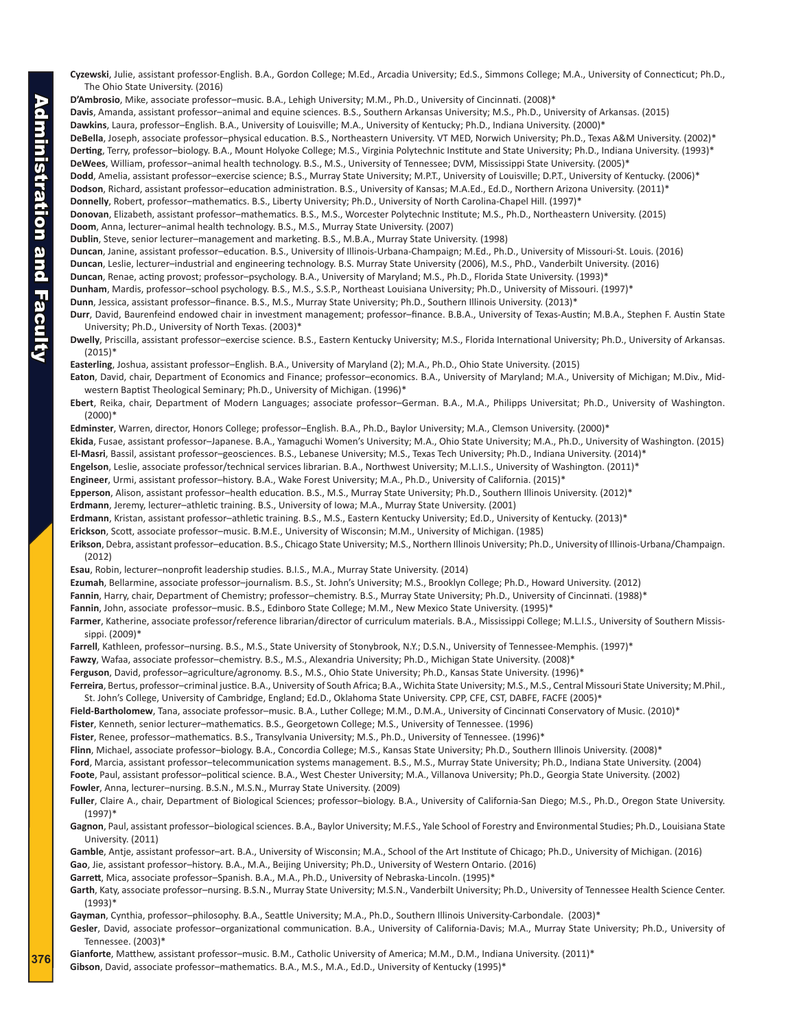**Cyzewski**, Julie, assistant professor-English. B.A., Gordon College; M.Ed., Arcadia University; Ed.S., Simmons College; M.A., University of Connecticut; Ph.D., The Ohio State University. (2016)

**D'Ambrosio**, Mike, associate professor–music. B.A., Lehigh University; M.M., Ph.D., University of Cincinnati. (2008)\*

**Davis**, Amanda, assistant professor–animal and equine sciences. B.S., Southern Arkansas University; M.S., Ph.D., University of Arkansas. (2015)

**Dawkins**, Laura, professor–English. B.A., University of Louisville; M.A., University of Kentucky; Ph.D., Indiana University. (2000)\*

**DeBella**, Joseph, associate professor–physical education. B.S., Northeastern University. VT MED, Norwich University; Ph.D., Texas A&M University. (2002)\* **Derting**, Terry, professor–biology. B.A., Mount Holyoke College; M.S., Virginia Polytechnic Institute and State University; Ph.D., Indiana University. (1993)\* **DeWees**, William, professor–animal health technology. B.S., M.S., University of Tennessee; DVM, Mississippi State University. (2005)\*

Dodd, Amelia, assistant professor–exercise science; B.S., Murray State University; M.P.T., University of Louisville; D.P.T., University of Kentucky. (2006)\*

**Dodson**, Richard, assistant professor–education administration. B.S., University of Kansas; M.A.Ed., Ed.D., Northern Arizona University. (2011)\*

**Donnelly**, Robert, professor–mathematics. B.S., Liberty University; Ph.D., University of North Carolina-Chapel Hill. (1997)\*

**Donovan**, Elizabeth, assistant professor–mathematics. B.S., M.S., Worcester Polytechnic Institute; M.S., Ph.D., Northeastern University. (2015)

**Doom**, Anna, lecturer–animal health technology. B.S., M.S., Murray State University. (2007)

**Dublin**, Steve, senior lecturer–management and marketing. B.S., M.B.A., Murray State University. (1998)

**Duncan**, Janine, assistant professor–education. B.S., University of Illinois-Urbana-Champaign; M.Ed., Ph.D., University of Missouri-St. Louis. (2016)

**Duncan**, Leslie, lecturer–industrial and engineering technology. B.S. Murray State University (2006), M.S., PhD., Vanderbilt University. (2016)

**Duncan**, Renae, acting provost; professor–psychology. B.A., University of Maryland; M.S., Ph.D., Florida State University. (1993)\*

**Dunham**, Mardis, professor–school psychology. B.S., M.S., S.S.P., Northeast Louisiana University; Ph.D., University of Missouri. (1997)\*

**Dunn**, Jessica, assistant professor–finance. B.S., M.S., Murray State University; Ph.D., Southern Illinois University. (2013)\*

**Durr**, David, Baurenfeind endowed chair in investment management; professor–finance. B.B.A., University of Texas-Austin; M.B.A., Stephen F. Austin State University; Ph.D., University of North Texas. (2003)\*

**Dwelly**, Priscilla, assistant professor–exercise science. B.S., Eastern Kentucky University; M.S., Florida International University; Ph.D., University of Arkansas. (2015)\*

**Easterling**, Joshua, assistant professor–English. B.A., University of Maryland (2); M.A., Ph.D., Ohio State University. (2015)

**Eaton**, David, chair, Department of Economics and Finance; professor–economics. B.A., University of Maryland; M.A., University of Michigan; M.Div., Midwestern Baptist Theological Seminary; Ph.D., University of Michigan. (1996)\*

**Ebert**, Reika, chair, Department of Modern Languages; associate professor–German. B.A., M.A., Philipps Universitat; Ph.D., University of Washington. (2000)\*

**Edminster**, Warren, director, Honors College; professor–English. B.A., Ph.D., Baylor University; M.A., Clemson University. (2000)\*

**Ekida**, Fusae, assistant professor–Japanese. B.A., Yamaguchi Women's University; M.A., Ohio State University; M.A., Ph.D., University of Washington. (2015)

**El-Masri**, Bassil, assistant professor–geosciences. B.S., Lebanese University; M.S., Texas Tech University; Ph.D., Indiana University. (2014)\*

**Engelson**, Leslie, associate professor/technical services librarian. B.A., Northwest University; M.L.I.S., University of Washington. (2011)\*

**Engineer**, Urmi, assistant professor–history. B.A., Wake Forest University; M.A., Ph.D., University of California. (2015)\*

**Epperson**, Alison, assistant professor–health education. B.S., M.S., Murray State University; Ph.D., Southern Illinois University. (2012)\*

**Erdmann**, Jeremy, lecturer–athletic training. B.S., University of Iowa; M.A., Murray State University. (2001)

**Erdmann**, Kristan, assistant professor–athletic training. B.S., M.S., Eastern Kentucky University; Ed.D., University of Kentucky. (2013)\*

**Erickson**, Scott, associate professor–music. B.M.E., University of Wisconsin; M.M., University of Michigan. (1985)

**Erikson**, Debra, assistant professor–education. B.S., Chicago State University; M.S., Northern Illinois University; Ph.D., University of Illinois-Urbana/Champaign. (2012)

**Esau**, Robin, lecturer–nonprofit leadership studies. B.I.S., M.A., Murray State University. (2014)

**Ezumah**, Bellarmine, associate professor–journalism. B.S., St. John's University; M.S., Brooklyn College; Ph.D., Howard University. (2012)

**Fannin**, Harry, chair, Department of Chemistry; professor–chemistry. B.S., Murray State University; Ph.D., University of Cincinnati. (1988)\*

Fannin, John, associate professor-music. B.S., Edinboro State College; M.M., New Mexico State University. (1995)\*

**Farmer**, Katherine, associate professor/reference librarian/director of curriculum materials. B.A., Mississippi College; M.L.I.S., University of Southern Mississippi. (2009)\*

**Farrell**, Kathleen, professor–nursing. B.S., M.S., State University of Stonybrook, N.Y.; D.S.N., University of Tennessee-Memphis. (1997)\*

**Fawzy**, Wafaa, associate professor–chemistry. B.S., M.S., Alexandria University; Ph.D., Michigan State University. (2008)\*

**Ferguson**, David, professor–agriculture/agronomy. B.S., M.S., Ohio State University; Ph.D., Kansas State University. (1996)\*

**Ferreira**, Bertus, professor–criminal justice. B.A., University of South Africa; B.A., Wichita State University; M.S., M.S., Central Missouri State University; M.Phil., St. John's College, University of Cambridge, England; Ed.D., Oklahoma State University. CPP, CFE, CST, DABFE, FACFE (2005)\*

Field-Bartholomew, Tana, associate professor-music. B.A., Luther College; M.M., D.M.A., University of Cincinnati Conservatory of Music. (2010)\*

**Fister**, Kenneth, senior lecturer–mathematics. B.S., Georgetown College; M.S., University of Tennessee. (1996)

**Fister**, Renee, professor–mathematics. B.S., Transylvania University; M.S., Ph.D., University of Tennessee. (1996)\*

**Flinn**, Michael, associate professor–biology. B.A., Concordia College; M.S., Kansas State University; Ph.D., Southern Illinois University. (2008)\*

**Ford**, Marcia, assistant professor–telecommunication systems management. B.S., M.S., Murray State University; Ph.D., Indiana State University. (2004)

**Foote**, Paul, assistant professor–political science. B.A., West Chester University; M.A., Villanova University; Ph.D., Georgia State University. (2002) **Fowler**, Anna, lecturer–nursing. B.S.N., M.S.N., Murray State University. (2009)

**Fuller**, Claire A., chair, Department of Biological Sciences; professor–biology. B.A., University of California-San Diego; M.S., Ph.D., Oregon State University. (1997)\*

**Gagnon**, Paul, assistant professor–biological sciences. B.A., Baylor University; M.F.S., Yale School of Forestry and Environmental Studies; Ph.D., Louisiana State University. (2011)

**Gamble**, Antje, assistant professor–art. B.A., University of Wisconsin; M.A., School of the Art Institute of Chicago; Ph.D., University of Michigan. (2016) **Gao**, Jie, assistant professor–history. B.A., M.A., Beijing University; Ph.D., University of Western Ontario. (2016)

**Garrett**, Mica, associate professor–Spanish. B.A., M.A., Ph.D., University of Nebraska-Lincoln. (1995)\*

**Garth**, Katy, associate professor–nursing. B.S.N., Murray State University; M.S.N., Vanderbilt University; Ph.D., University of Tennessee Health Science Center. (1993)\*

**Gayman**, Cynthia, professor–philosophy. B.A., Seattle University; M.A., Ph.D., Southern Illinois University-Carbondale. (2003)\*

Gesler, David, associate professor-organizational communication. B.A., University of California-Davis; M.A., Murray State University; Ph.D., University of Tennessee. (2003)\*

**Gianforte**, Matthew, assistant professor–music. B.M., Catholic University of America; M.M., D.M., Indiana University. (2011)\* **Gibson**, David, associate professor–mathematics. B.A., M.S., M.A., Ed.D., University of Kentucky (1995)\*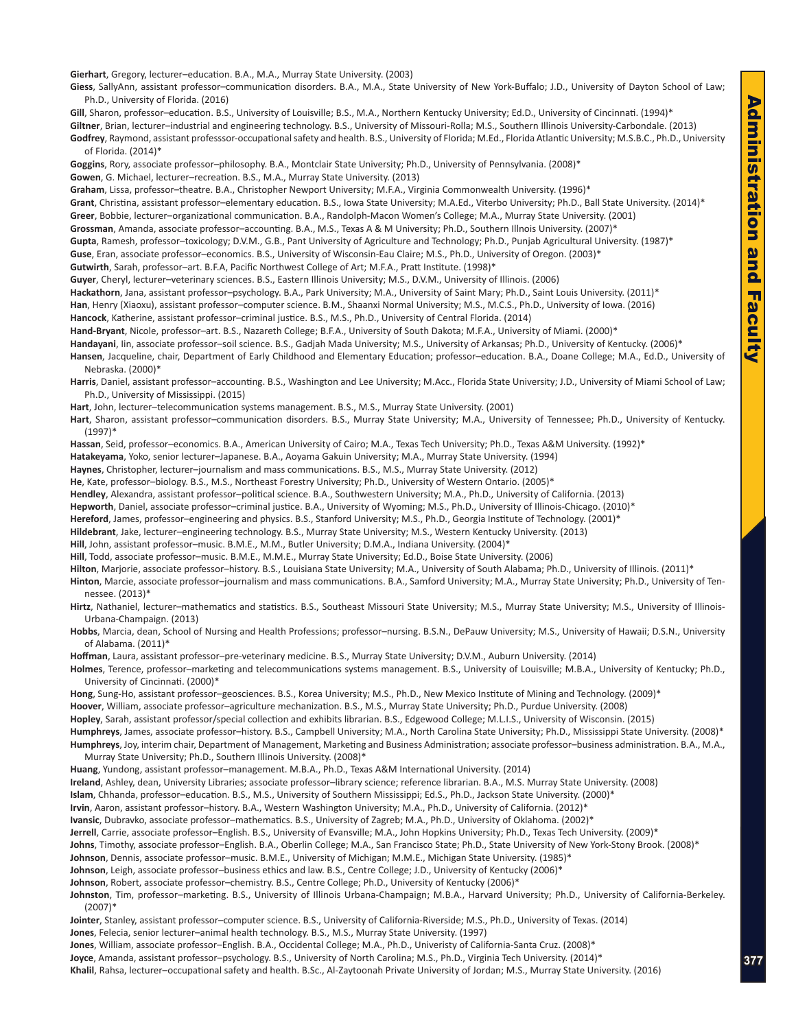**Gierhart**, Gregory, lecturer–education. B.A., M.A., Murray State University. (2003)

**Giess**, SallyAnn, assistant professor–communication disorders. B.A., M.A., State University of New York-Buffalo; J.D., University of Dayton School of Law; Ph.D., University of Florida. (2016)

Gill, Sharon, professor–education. B.S., University of Louisville; B.S., M.A., Northern Kentucky University; Ed.D., University of Cincinnati. (1994)\*

**Giltner**, Brian, lecturer–industrial and engineering technology. B.S., University of Missouri-Rolla; M.S., Southern Illinois University-Carbondale. (2013) **Godfrey**, Raymond, assistant professsor-occupational safety and health. B.S., University of Florida; M.Ed., Florida Atlantic University; M.S.B.C., Ph.D., University

of Florida. (2014)\*

**Goggins**, Rory, associate professor–philosophy. B.A., Montclair State University; Ph.D., University of Pennsylvania. (2008)\* **Gowen**, G. Michael, lecturer–recreation. B.S., M.A., Murray State University. (2013)

**Graham**, Lissa, professor–theatre. B.A., Christopher Newport University; M.F.A., Virginia Commonwealth University. (1996)\*

**Grant**, Christina, assistant professor–elementary education. B.S., Iowa State University; M.A.Ed., Viterbo University; Ph.D., Ball State University. (2014)\* **Greer**, Bobbie, lecturer–organizational communication. B.A., Randolph-Macon Women's College; M.A., Murray State University. (2001)

**Grossman**, Amanda, associate professor–accounting. B.A., M.S., Texas A & M University; Ph.D., Southern Illnois University. (2007)\*

**Gupta**, Ramesh, professor–toxicology; D.V.M., G.B., Pant University of Agriculture and Technology; Ph.D., Punjab Agricultural University. (1987)\*

**Guse**, Eran, associate professor–economics. B.S., University of Wisconsin-Eau Claire; M.S., Ph.D., University of Oregon. (2003)\*

**Gutwirth**, Sarah, professor–art. B.F.A, Pacific Northwest College of Art; M.F.A., Pratt Institute. (1998)\*

**Guyer**, Cheryl, lecturer–veterinary sciences. B.S., Eastern Illinois University; M.S., D.V.M., University of Illinois. (2006)

**Hackathorn**, Jana, assistant professor–psychology. B.A., Park University; M.A., University of Saint Mary; Ph.D., Saint Louis University. (2011)\*

**Han**, Henry (Xiaoxu), assistant professor–computer science. B.M., Shaanxi Normal University; M.S., M.C.S., Ph.D., University of Iowa. (2016)

**Hancock**, Katherine, assistant professor–criminal justice. B.S., M.S., Ph.D., University of Central Florida. (2014)

**Hand-Bryant**, Nicole, professor–art. B.S., Nazareth College; B.F.A., University of South Dakota; M.F.A., University of Miami. (2000)\*

Handayani, Iin, associate professor-soil science. B.S., Gadjah Mada University; M.S., University of Arkansas; Ph.D., University of Kentucky. (2006)\*

**Hansen**, Jacqueline, chair, Department of Early Childhood and Elementary Education; professor–education. B.A., Doane College; M.A., Ed.D., University of Nebraska. (2000)\*

**Harris**, Daniel, assistant professor–accounting. B.S., Washington and Lee University; M.Acc., Florida State University; J.D., University of Miami School of Law; Ph.D., University of Mississippi. (2015)

**Hart**, John, lecturer–telecommunication systems management. B.S., M.S., Murray State University. (2001)

**Hart**, Sharon, assistant professor–communication disorders. B.S., Murray State University; M.A., University of Tennessee; Ph.D., University of Kentucky. (1997)\*

**Hassan**, Seid, professor–economics. B.A., American University of Cairo; M.A., Texas Tech University; Ph.D., Texas A&M University. (1992)\*

**Hatakeyama**, Yoko, senior lecturer–Japanese. B.A., Aoyama Gakuin University; M.A., Murray State University. (1994)

**Haynes**, Christopher, lecturer–journalism and mass communications. B.S., M.S., Murray State University. (2012)

**He**, Kate, professor–biology. B.S., M.S., Northeast Forestry University; Ph.D., University of Western Ontario. (2005)\*

**Hendley**, Alexandra, assistant professor–political science. B.A., Southwestern University; M.A., Ph.D., University of California. (2013)

**Hepworth**, Daniel, associate professor–criminal justice. B.A., University of Wyoming; M.S., Ph.D., University of Illinois-Chicago. (2010)\*

**Hereford**, James, professor–engineering and physics. B.S., Stanford University; M.S., Ph.D., Georgia Institute of Technology. (2001)\*

**Hildebrant**, Jake, lecturer–engineering technology. B.S., Murray State University; M.S., Western Kentucky University. (2013)

**Hill**, John, assistant professor–music. B.M.E., M.M., Butler University; D.M.A., Indiana University. (2004)\*

**Hill**, Todd, associate professor–music. B.M.E., M.M.E., Murray State University; Ed.D., Boise State University. (2006)

**Hilton**, Marjorie, associate professor–history. B.S., Louisiana State University; M.A., University of South Alabama; Ph.D., University of Illinois. (2011)\*

**Hinton**, Marcie, associate professor–journalism and mass communications. B.A., Samford University; M.A., Murray State University; Ph.D., University of Tennessee. (2013)\*

**Hirtz**, Nathaniel, lecturer–mathematics and statistics. B.S., Southeast Missouri State University; M.S., Murray State University; M.S., University of Illinois-Urbana-Champaign. (2013)

**Hobbs**, Marcia, dean, School of Nursing and Health Professions; professor–nursing. B.S.N., DePauw University; M.S., University of Hawaii; D.S.N., University of Alabama. (2011)\*

**Hoffman**, Laura, assistant professor–pre-veterinary medicine. B.S., Murray State University; D.V.M., Auburn University. (2014)

**Holmes**, Terence, professor–marketing and telecommunications systems management. B.S., University of Louisville; M.B.A., University of Kentucky; Ph.D., University of Cincinnati. (2000)\*

**Hong**, Sung-Ho, assistant professor–geosciences. B.S., Korea University; M.S., Ph.D., New Mexico Institute of Mining and Technology. (2009)\* **Hoover**, William, associate professor–agriculture mechanization. B.S., M.S., Murray State University; Ph.D., Purdue University. (2008) **Hopley**, Sarah, assistant professor/special collection and exhibits librarian. B.S., Edgewood College; M.L.I.S., University of Wisconsin. (2015) **Humphreys**, James, associate professor–history. B.S., Campbell University; M.A., North Carolina State University; Ph.D., Mississippi State University. (2008)\* **Humphreys**, Joy, interim chair, Department of Management, Marketing and Business Administration; associate professor–business administration. B.A., M.A., Murray State University; Ph.D., Southern Illinois University. (2008)\*

**Huang**, Yundong, assistant professor–management. M.B.A., Ph.D., Texas A&M International University. (2014)

**Ireland**, Ashley, dean, University Libraries; associate professor–library science; reference librarian. B.A., M.S. Murray State University. (2008)

**Islam**, Chhanda, professor–education. B.S., M.S., University of Southern Mississippi; Ed.S., Ph.D., Jackson State University. (2000)\*

**Irvin**, Aaron, assistant professor–history. B.A., Western Washington University; M.A., Ph.D., University of California. (2012)\*

**Ivansic**, Dubravko, associate professor–mathematics. B.S., University of Zagreb; M.A., Ph.D., University of Oklahoma. (2002)\*

**Jerrell**, Carrie, associate professor–English. B.S., University of Evansville; M.A., John Hopkins University; Ph.D., Texas Tech University. (2009)\*

**Johns**, Timothy, associate professor–English. B.A., Oberlin College; M.A., San Francisco State; Ph.D., State University of New York-Stony Brook. (2008)\*

**Johnson**, Dennis, associate professor–music. B.M.E., University of Michigan; M.M.E., Michigan State University. (1985)\*

**Johnson**, Leigh, associate professor–business ethics and law. B.S., Centre College; J.D., University of Kentucky (2006)\*

**Johnson**, Robert, associate professor–chemistry. B.S., Centre College; Ph.D., University of Kentucky (2006)\*

**Johnston**, Tim, professor–marketing. B.S., University of Illinois Urbana-Champaign; M.B.A., Harvard University; Ph.D., University of California-Berkeley. (2007)\*

**Jointer**, Stanley, assistant professor–computer science. B.S., University of California-Riverside; M.S., Ph.D., University of Texas. (2014)

**Jones**, Felecia, senior lecturer–animal health technology. B.S., M.S., Murray State University. (1997)

**Jones**, William, associate professor–English. B.A., Occidental College; M.A., Ph.D., Univeristy of California-Santa Cruz. (2008)\*

**Joyce**, Amanda, assistant professor–psychology. B.S., University of North Carolina; M.S., Ph.D., Virginia Tech University. (2014)\*

**Khalil**, Rahsa, lecturer–occupational safety and health. B.Sc., Al-Zaytoonah Private University of Jordan; M.S., Murray State University. (2016)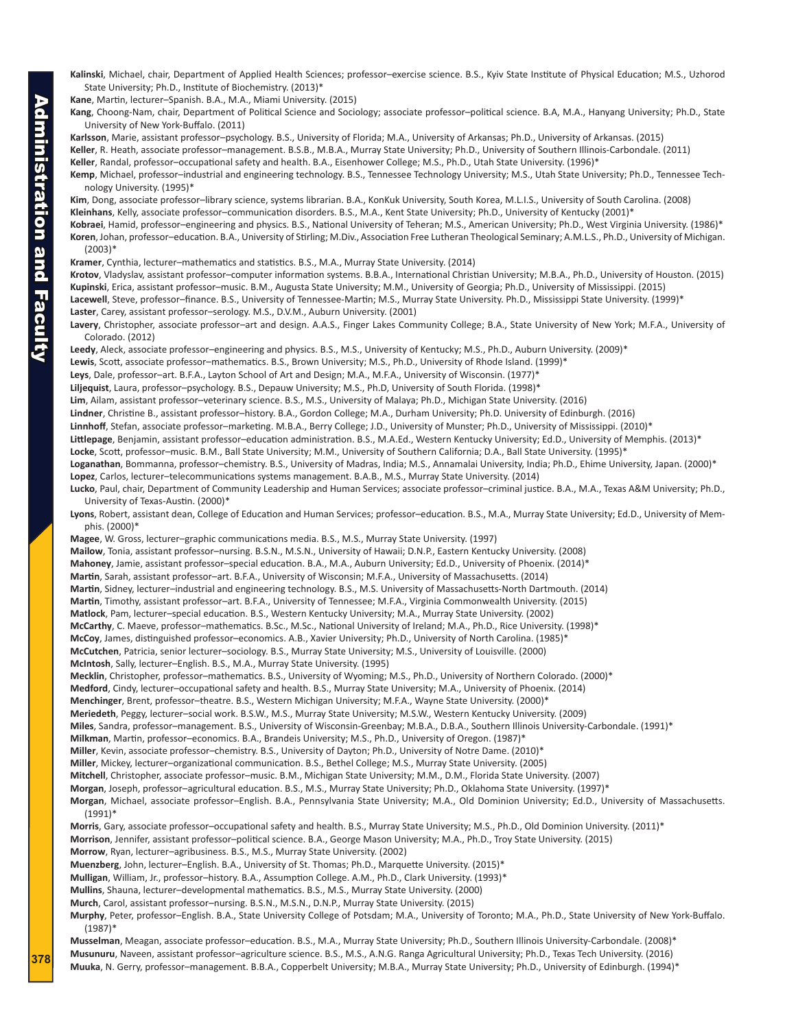**Kalinski**, Michael, chair, Department of Applied Health Sciences; professor–exercise science. B.S., Kyiv State Institute of Physical Education; M.S., Uzhorod State University; Ph.D., Institute of Biochemistry. (2013)\*

**Kane**, Martin, lecturer–Spanish. B.A., M.A., Miami University. (2015)

**Kang**, Choong-Nam, chair, Department of Political Science and Sociology; associate professor–political science. B.A, M.A., Hanyang University; Ph.D., State University of New York-Buffalo. (2011)

**Karlsson**, Marie, assistant professor–psychology. B.S., University of Florida; M.A., University of Arkansas; Ph.D., University of Arkansas. (2015) **Keller**, R. Heath, associate professor–management. B.S.B., M.B.A., Murray State University; Ph.D., University of Southern Illinois-Carbondale. (2011)

**Keller**, Randal, professor–occupational safety and health. B.A., Eisenhower College; M.S., Ph.D., Utah State University. (1996)\*

**Kemp**, Michael, professor–industrial and engineering technology. B.S., Tennessee Technology University; M.S., Utah State University; Ph.D., Tennessee Technology University. (1995)\*

**Kim**, Dong, associate professor–library science, systems librarian. B.A., KonKuk University, South Korea, M.L.I.S., University of South Carolina. (2008) **Kleinhans**, Kelly, associate professor–communication disorders. B.S., M.A., Kent State University; Ph.D., University of Kentucky (2001)\*

- **Kobraei**, Hamid, professor–engineering and physics. B.S., National University of Teheran; M.S., American University; Ph.D., West Virginia University. (1986)\* **Koren**, Johan, professor–education. B.A., University of Stirling; M.Div., Association Free Lutheran Theological Seminary; A.M.L.S., Ph.D., University of Michigan. (2003)\*
- **Kramer**, Cynthia, lecturer–mathematics and statistics. B.S., M.A., Murray State University. (2014)

**Krotov**, Vladyslav, assistant professor–computer information systems. B.B.A., International Christian University; M.B.A., Ph.D., University of Houston. (2015) **Kupinski**, Erica, assistant professor–music. B.M., Augusta State University; M.M., University of Georgia; Ph.D., University of Mississippi. (2015) **Lacewell**, Steve, professor–finance. B.S., University of Tennessee-Martin; M.S., Murray State University. Ph.D., Mississippi State University. (1999)\*

**Laster**, Carey, assistant professor–serology. M.S., D.V.M., Auburn University. (2001)

**Lavery**, Christopher, associate professor–art and design. A.A.S., Finger Lakes Community College; B.A., State University of New York; M.F.A., University of Colorado. (2012)

**Leedy**, Aleck, associate professor–engineering and physics. B.S., M.S., University of Kentucky; M.S., Ph.D., Auburn University. (2009)\*

**Lewis**, Scott, associate professor–mathematics. B.S., Brown University; M.S., Ph.D., University of Rhode Island. (1999)\*

**Leys**, Dale, professor–art. B.F.A., Layton School of Art and Design; M.A., M.F.A., University of Wisconsin. (1977)\*

**Liljequist**, Laura, professor–psychology. B.S., Depauw University; M.S., Ph.D, University of South Florida. (1998)\*

**Lim**, Ailam, assistant professor–veterinary science. B.S., M.S., University of Malaya; Ph.D., Michigan State University. (2016)

**Lindner**, Christine B., assistant professor–history. B.A., Gordon College; M.A., Durham University; Ph.D. University of Edinburgh. (2016)

**Linnhoff**, Stefan, associate professor–marketing. M.B.A., Berry College; J.D., University of Munster; Ph.D., University of Mississippi. (2010)\*

**Littlepage**, Benjamin, assistant professor–education administration. B.S., M.A.Ed., Western Kentucky University; Ed.D., University of Memphis. (2013)\* **Locke**, Scott, professor–music. B.M., Ball State University; M.M., University of Southern California; D.A., Ball State University. (1995)\*

- **Loganathan**, Bommanna, professor–chemistry. B.S., University of Madras, India; M.S., Annamalai University, India; Ph.D., Ehime University, Japan. (2000)\* **Lopez**, Carlos, lecturer–telecommunications systems management. B.A.B., M.S., Murray State University. (2014)
- **Lucko**, Paul, chair, Department of Community Leadership and Human Services; associate professor–criminal justice. B.A., M.A., Texas A&M University; Ph.D., University of Texas-Austin. (2000)\*
- **Lyons**, Robert, assistant dean, College of Education and Human Services; professor–education. B.S., M.A., Murray State University; Ed.D., University of Memphis. (2000)\*

**Magee**, W. Gross, lecturer–graphic communications media. B.S., M.S., Murray State University. (1997)

**Mailow**, Tonia, assistant professor–nursing. B.S.N., M.S.N., University of Hawaii; D.N.P., Eastern Kentucky University. (2008)

**Mahoney**, Jamie, assistant professor–special education. B.A., M.A., Auburn University; Ed.D., University of Phoenix. (2014)\*

**Martin**, Sarah, assistant professor–art. B.F.A., University of Wisconsin; M.F.A., University of Massachusetts. (2014)

**Martin**, Sidney, lecturer–industrial and engineering technology. B.S., M.S. University of Massachusetts-North Dartmouth. (2014)

**Martin**, Timothy, assistant professor–art. B.F.A., University of Tennessee; M.F.A., Virginia Commonwealth University. (2015)

**Matlock**, Pam, lecturer–special education. B.S., Western Kentucky University; M.A., Murray State University. (2002)

**McCarthy**, C. Maeve, professor–mathematics. B.Sc., M.Sc., National University of Ireland; M.A., Ph.D., Rice University. (1998)\*

**McCoy**, James, distinguished professor–economics. A.B., Xavier University; Ph.D., University of North Carolina. (1985)\*

**McCutchen**, Patricia, senior lecturer–sociology. B.S., Murray State University; M.S., University of Louisville. (2000) **McIntosh**, Sally, lecturer–English. B.S., M.A., Murray State University. (1995)

**Mecklin**, Christopher, professor–mathematics. B.S., University of Wyoming; M.S., Ph.D., University of Northern Colorado. (2000)\*

**Medford**, Cindy, lecturer–occupational safety and health. B.S., Murray State University; M.A., University of Phoenix. (2014)

**Menchinger**, Brent, professor–theatre. B.S., Western Michigan University; M.F.A., Wayne State University. (2000)\*

**Meriedeth**, Peggy, lecturer–social work. B.S.W., M.S., Murray State University; M.S.W., Western Kentucky University. (2009)

**Miles**, Sandra, professor–management. B.S., University of Wisconsin-Greenbay; M.B.A., D.B.A., Southern Illinois University-Carbondale. (1991)\*

**Milkman**, Martin, professor–economics. B.A., Brandeis University; M.S., Ph.D., University of Oregon. (1987)\*

**Miller**, Kevin, associate professor–chemistry. B.S., University of Dayton; Ph.D., University of Notre Dame. (2010)\*

**Miller**, Mickey, lecturer–organizational communication. B.S., Bethel College; M.S., Murray State University. (2005)

**Mitchell**, Christopher, associate professor–music. B.M., Michigan State University; M.M., D.M., Florida State University. (2007)

**Morgan**, Joseph, professor–agricultural education. B.S., M.S., Murray State University; Ph.D., Oklahoma State University. (1997)\*

- **Morgan**, Michael, associate professor–English. B.A., Pennsylvania State University; M.A., Old Dominion University; Ed.D., University of Massachusetts. (1991)\*
- **Morris**, Gary, associate professor–occupational safety and health. B.S., Murray State University; M.S., Ph.D., Old Dominion University. (2011)\* **Morrison**, Jennifer, assistant professor–political science. B.A., George Mason University; M.A., Ph.D., Troy State University. (2015) **Morrow**, Ryan, lecturer–agribusiness. B.S., M.S., Murray State University. (2002) **Muenzberg**, John, lecturer–English. B.A., University of St. Thomas; Ph.D., Marquette University. (2015)\*

**Mulligan**, William, Jr., professor–history. B.A., Assumption College. A.M., Ph.D., Clark University. (1993)\*

**Mullins**, Shauna, lecturer–developmental mathematics. B.S., M.S., Murray State University. (2000) **Murch**, Carol, assistant professor–nursing. B.S.N., M.S.N., D.N.P., Murray State University. (2015)

**Murphy**, Peter, professor–English. B.A., State University College of Potsdam; M.A., University of Toronto; M.A., Ph.D., State University of New York-Buffalo.

(1987)\* **Musselman**, Meagan, associate professor–education. B.S., M.A., Murray State University; Ph.D., Southern Illinois University-Carbondale. (2008)\* **Musunuru**, Naveen, assistant professor–agriculture science. B.S., M.S., A.N.G. Ranga Agricultural University; Ph.D., Texas Tech University. (2016) **Muuka**, N. Gerry, professor–management. B.B.A., Copperbelt University; M.B.A., Murray State University; Ph.D., University of Edinburgh. (1994)\*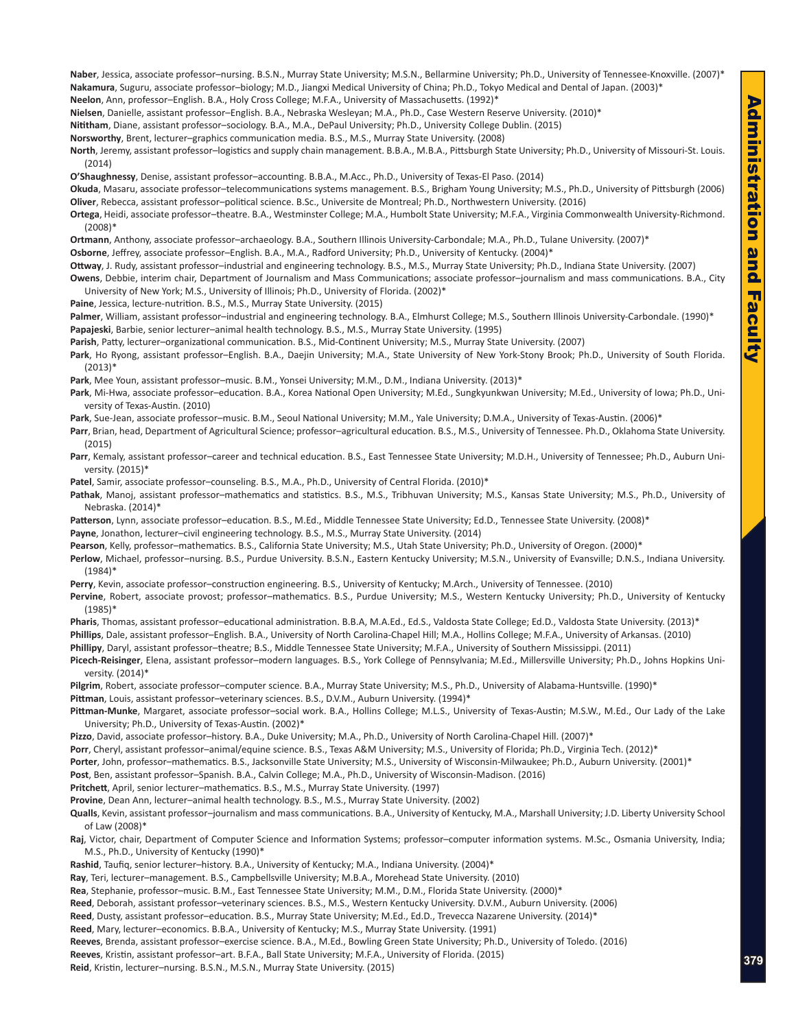**Naber**, Jessica, associate professor–nursing. B.S.N., Murray State University; M.S.N., Bellarmine University; Ph.D., University of Tennessee-Knoxville. (2007)\* **Nakamura**, Suguru, associate professor–biology; M.D., Jiangxi Medical University of China; Ph.D., Tokyo Medical and Dental of Japan. (2003)\*

**Neelon**, Ann, professor–English. B.A., Holy Cross College; M.F.A., University of Massachusetts. (1992)\*

**Nielsen**, Danielle, assistant professor–English. B.A., Nebraska Wesleyan; M.A., Ph.D., Case Western Reserve University. (2010)\*

**Nititham**, Diane, assistant professor–sociology. B.A., M.A., DePaul University; Ph.D., University College Dublin. (2015)

**Norsworthy**, Brent, lecturer–graphics communication media. B.S., M.S., Murray State University. (2008)

**North**, Jeremy, assistant professor–logistics and supply chain management. B.B.A., M.B.A., Pittsburgh State University; Ph.D., University of Missouri-St. Louis. (2014)

**O'Shaughnessy**, Denise, assistant professor–accounting. B.B.A., M.Acc., Ph.D., University of Texas-El Paso. (2014)

**Okuda**, Masaru, associate professor–telecommunications systems management. B.S., Brigham Young University; M.S., Ph.D., University of Pittsburgh (2006) **Oliver**, Rebecca, assistant professor–political science. B.Sc., Universite de Montreal; Ph.D., Northwestern University. (2016)

**Ortega**, Heidi, associate professor–theatre. B.A., Westminster College; M.A., Humbolt State University; M.F.A., Virginia Commonwealth University-Richmond. (2008)\*

- **Ortmann**, Anthony, associate professor–archaeology. B.A., Southern Illinois University-Carbondale; M.A., Ph.D., Tulane University. (2007)\*
- **Osborne**, Jeffrey, associate professor–English. B.A., M.A., Radford University; Ph.D., University of Kentucky. (2004)\*

**Ottway**, J. Rudy, assistant professor–industrial and engineering technology. B.S., M.S., Murray State University; Ph.D., Indiana State University. (2007)

- **Owens**, Debbie, interim chair, Department of Journalism and Mass Communications; associate professor–journalism and mass communications. B.A., City University of New York; M.S., University of Illinois; Ph.D., University of Florida. (2002)\*
- **Paine**, Jessica, lecture-nutrition. B.S., M.S., Murray State University. (2015)

Palmer, William, assistant professor-industrial and engineering technology. B.A., Elmhurst College; M.S., Southern Illinois University-Carbondale. (1990)\* **Papajeski**, Barbie, senior lecturer–animal health technology. B.S., M.S., Murray State University. (1995)

**Parish**, Patty, lecturer–organizational communication. B.S., Mid-Continent University; M.S., Murray State University. (2007)

**Park**, Ho Ryong, assistant professor–English. B.A., Daejin University; M.A., State University of New York-Stony Brook; Ph.D., University of South Florida.  $(2013)*$ 

**Park**, Mee Youn, assistant professor–music. B.M., Yonsei University; M.M., D.M., Indiana University. (2013)\*

**Park**, Mi-Hwa, associate professor–education. B.A., Korea National Open University; M.Ed., Sungkyunkwan University; M.Ed., University of Iowa; Ph.D., University of Texas-Austin. (2010)

- Park, Sue-Jean, associate professor–music. B.M., Seoul National University; M.M., Yale University; D.M.A., University of Texas-Austin. (2006)\*
- **Parr**, Brian, head, Department of Agricultural Science; professor–agricultural education. B.S., M.S., University of Tennessee. Ph.D., Oklahoma State University. (2015)
- Parr, Kemaly, assistant professor-career and technical education. B.S., East Tennessee State University; M.D.H., University of Tennessee; Ph.D., Auburn University. (2015)\*

Patel, Samir, associate professor-counseling. B.S., M.A., Ph.D., University of Central Florida. (2010)<sup>\*</sup>

- Pathak, Manoj, assistant professor-mathematics and statistics. B.S., M.S., Tribhuvan University; M.S., Kansas State University; M.S., Ph.D., University of Nebraska. (2014)\*
- Patterson, Lynn, associate professor-education. B.S., M.Ed., Middle Tennessee State University; Ed.D., Tennessee State University. (2008)\*

**Payne**, Jonathon, lecturer–civil engineering technology. B.S., M.S., Murray State University. (2014)

Pearson, Kelly, professor-mathematics. B.S., California State University; M.S., Utah State University; Ph.D., University of Oregon. (2000)\*

**Perlow**, Michael, professor–nursing. B.S., Purdue University. B.S.N., Eastern Kentucky University; M.S.N., University of Evansville; D.N.S., Indiana University. (1984)\*

**Perry**, Kevin, associate professor–construction engineering. B.S., University of Kentucky; M.Arch., University of Tennessee. (2010)

**Pervine**, Robert, associate provost; professor–mathematics. B.S., Purdue University; M.S., Western Kentucky University; Ph.D., University of Kentucky (1985)\*

Pharis, Thomas, assistant professor-educational administration. B.B.A, M.A.Ed., Ed.S., Valdosta State College; Ed.D., Valdosta State University. (2013)\* **Phillips**, Dale, assistant professor–English. B.A., University of North Carolina-Chapel Hill; M.A., Hollins College; M.F.A., University of Arkansas. (2010)

**Phillipy**, Daryl, assistant professor–theatre; B.S., Middle Tennessee State University; M.F.A., University of Southern Mississippi. (2011)

**Picech-Reisinger**, Elena, assistant professor–modern languages. B.S., York College of Pennsylvania; M.Ed., Millersville University; Ph.D., Johns Hopkins University. (2014)\*

Pilgrim, Robert, associate professor-computer science. B.A., Murray State University; M.S., Ph.D., University of Alabama-Huntsville. (1990)\* Pittman, Louis, assistant professor-veterinary sciences. B.S., D.V.M., Auburn University. (1994)\*

**Pittman-Munke**, Margaret, associate professor–social work. B.A., Hollins College; M.L.S., University of Texas-Austin; M.S.W., M.Ed., Our Lady of the Lake University; Ph.D., University of Texas-Austin. (2002)\*

**Pizzo**, David, associate professor–history. B.A., Duke University; M.A., Ph.D., University of North Carolina-Chapel Hill. (2007)\*

Porr, Cheryl, assistant professor-animal/equine science. B.S., Texas A&M University; M.S., University of Florida; Ph.D., Virginia Tech. (2012)\*

Porter, John, professor–mathematics. B.S., Jacksonville State University; M.S., University of Wisconsin-Milwaukee; Ph.D., Auburn University. (2001)<sup>\*</sup>

**Post**, Ben, assistant professor–Spanish. B.A., Calvin College; M.A., Ph.D., University of Wisconsin-Madison. (2016)

**Pritchett**, April, senior lecturer–mathematics. B.S., M.S., Murray State University. (1997)

**Provine**, Dean Ann, lecturer–animal health technology. B.S., M.S., Murray State University. (2002)

Qualls, Kevin, assistant professor-journalism and mass communications. B.A., University of Kentucky, M.A., Marshall University; J.D. Liberty University School of Law (2008)\*

**Raj**, Victor, chair, Department of Computer Science and Information Systems; professor–computer information systems. M.Sc., Osmania University, India; M.S., Ph.D., University of Kentucky (1990)\*

**Rashid**, Taufiq, senior lecturer–history. B.A., University of Kentucky; M.A., Indiana University. (2004)\*

**Ray**, Teri, lecturer–management. B.S., Campbellsville University; M.B.A., Morehead State University. (2010)

**Rea**, Stephanie, professor–music. B.M., East Tennessee State University; M.M., D.M., Florida State University. (2000)\*

**Reed**, Deborah, assistant professor–veterinary sciences. B.S., M.S., Western Kentucky University. D.V.M., Auburn University. (2006)

Reed, Dusty, assistant professor-education. B.S., Murray State University; M.Ed., Ed.D., Trevecca Nazarene University. (2014)<sup>\*</sup>

**Reed**, Mary, lecturer–economics. B.B.A., University of Kentucky; M.S., Murray State University. (1991)

**Reeves**, Brenda, assistant professor–exercise science. B.A., M.Ed., Bowling Green State University; Ph.D., University of Toledo. (2016)

**Reeves**, Kristin, assistant professor–art. B.F.A., Ball State University; M.F.A., University of Florida. (2015)

**Reid**, Kristin, lecturer–nursing. B.S.N., M.S.N., Murray State University. (2015)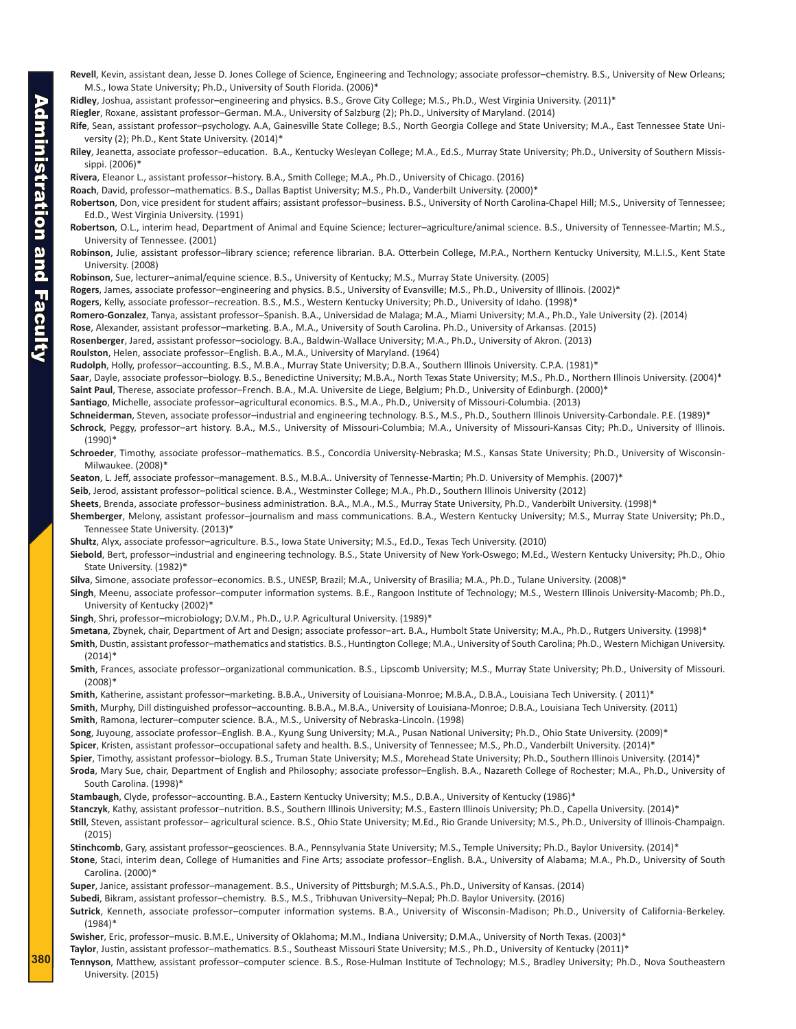- **Revell**, Kevin, assistant dean, Jesse D. Jones College of Science, Engineering and Technology; associate professor–chemistry. B.S., University of New Orleans; M.S., Iowa State University; Ph.D., University of South Florida. (2006)\*
- **Ridley**, Joshua, assistant professor–engineering and physics. B.S., Grove City College; M.S., Ph.D., West Virginia University. (2011)\*

**Riegler**, Roxane, assistant professor–German. M.A., University of Salzburg (2); Ph.D., University of Maryland. (2014)

**Rife**, Sean, assistant professor–psychology. A.A, Gainesville State College; B.S., North Georgia College and State University; M.A., East Tennessee State University (2); Ph.D., Kent State University. (2014)\*

**Riley**, Jeanetta, associate professor–education. B.A., Kentucky Wesleyan College; M.A., Ed.S., Murray State University; Ph.D., University of Southern Mississippi. (2006)\*

**Rivera**, Eleanor L., assistant professor–history. B.A., Smith College; M.A., Ph.D., University of Chicago. (2016)

- **Roach**, David, professor–mathematics. B.S., Dallas Baptist University; M.S., Ph.D., Vanderbilt University. (2000)\*
- **Robertson**, Don, vice president for student affairs; assistant professor–business. B.S., University of North Carolina-Chapel Hill; M.S., University of Tennessee; Ed.D., West Virginia University. (1991)
- **Robertson**, O.L., interim head, Department of Animal and Equine Science; lecturer–agriculture/animal science. B.S., University of Tennessee-Martin; M.S., University of Tennessee. (2001)
- **Robinson**, Julie, assistant professor–library science; reference librarian. B.A. Otterbein College, M.P.A., Northern Kentucky University, M.L.I.S., Kent State University. (2008)
- **Robinson**, Sue, lecturer–animal/equine science. B.S., University of Kentucky; M.S., Murray State University. (2005)
- **Rogers**, James, associate professor–engineering and physics. B.S., University of Evansville; M.S., Ph.D., University of Illinois. (2002)\*

**Rogers**, Kelly, associate professor–recreation. B.S., M.S., Western Kentucky University; Ph.D., University of Idaho. (1998)\*

- **Romero-Gonzalez**, Tanya, assistant professor–Spanish. B.A., Universidad de Malaga; M.A., Miami University; M.A., Ph.D., Yale University (2). (2014)
- **Rose**, Alexander, assistant professor–marketing. B.A., M.A., University of South Carolina. Ph.D., University of Arkansas. (2015)
- **Rosenberger**, Jared, assistant professor–sociology. B.A., Baldwin-Wallace University; M.A., Ph.D., University of Akron. (2013)
- **Roulston**, Helen, associate professor–English. B.A., M.A., University of Maryland. (1964)
- **Rudolph**, Holly, professor–accounting. B.S., M.B.A., Murray State University; D.B.A., Southern Illinois University. C.P.A. (1981)\*

Saar, Dayle, associate professor-biology. B.S., Benedictine University; M.B.A., North Texas State University; M.S., Ph.D., Northern Illinois University. (2004)\* **Saint Paul**, Therese, associate professor–French. B.A., M.A. Universite de Liege, Belgium; Ph.D., University of Edinburgh. (2000)\*

**Santiago**, Michelle, associate professor–agricultural economics. B.S., M.A., Ph.D., University of Missouri-Columbia. (2013)

**Schneiderman**, Steven, associate professor–industrial and engineering technology. B.S., M.S., Ph.D., Southern Illinois University-Carbondale. P.E. (1989)\* **Schrock**, Peggy, professor–art history. B.A., M.S., University of Missouri-Columbia; M.A., University of Missouri-Kansas City; Ph.D., University of Illinois. (1990)\*

**Schroeder**, Timothy, associate professor–mathematics. B.S., Concordia University-Nebraska; M.S., Kansas State University; Ph.D., University of Wisconsin-Milwaukee. (2008)\*

**Seaton**, L. Jeff, associate professor–management. B.S., M.B.A.. University of Tennesse-Martin; Ph.D. University of Memphis. (2007)\*

**Seib**, Jerod, assistant professor–political science. B.A., Westminster College; M.A., Ph.D., Southern Illinois University (2012)

**Sheets**, Brenda, associate professor–business administration. B.A., M.A., M.S., Murray State University, Ph.D., Vanderbilt University. (1998)\*

**Shemberger**, Melony, assistant professor–journalism and mass communications. B.A., Western Kentucky University; M.S., Murray State University; Ph.D., Tennessee State University. (2013)\*

**Shultz**, Alyx, associate professor–agriculture. B.S., Iowa State University; M.S., Ed.D., Texas Tech University. (2010)

**Siebold**, Bert, professor–industrial and engineering technology. B.S., State University of New York-Oswego; M.Ed., Western Kentucky University; Ph.D., Ohio State University. (1982)\*

**Silva**, Simone, associate professor–economics. B.S., UNESP, Brazil; M.A., University of Brasilia; M.A., Ph.D., Tulane University. (2008)\*

**Singh**, Meenu, associate professor–computer information systems. B.E., Rangoon Institute of Technology; M.S., Western Illinois University-Macomb; Ph.D., University of Kentucky (2002)\*

**Singh**, Shri, professor–microbiology; D.V.M., Ph.D., U.P. Agricultural University. (1989)\*

**Smetana**, Zbynek, chair, Department of Art and Design; associate professor–art. B.A., Humbolt State University; M.A., Ph.D., Rutgers University. (1998)\*

**Smith**, Dustin, assistant professor–mathematics and statistics. B.S., Huntington College; M.A., University of South Carolina; Ph.D., Western Michigan University.  $(2014)^*$ 

**Smith**, Frances, associate professor–organizational communication. B.S., Lipscomb University; M.S., Murray State University; Ph.D., University of Missouri. (2008)\*

**Smith**, Katherine, assistant professor–marketing. B.B.A., University of Louisiana-Monroe; M.B.A., D.B.A., Louisiana Tech University. ( 2011)\* **Smith**, Murphy, Dill distinguished professor–accounting. B.B.A., M.B.A., University of Louisiana-Monroe; D.B.A., Louisiana Tech University. (2011) **Smith**, Ramona, lecturer–computer science. B.A., M.S., University of Nebraska-Lincoln. (1998)

**Song**, Juyoung, associate professor–English. B.A., Kyung Sung University; M.A., Pusan National University; Ph.D., Ohio State University. (2009)\* **Spicer**, Kristen, assistant professor–occupational safety and health. B.S., University of Tennessee; M.S., Ph.D., Vanderbilt University. (2014)\* **Spier**, Timothy, assistant professor–biology. B.S., Truman State University; M.S., Morehead State University; Ph.D., Southern Illinois University. (2014)\* **Sroda**, Mary Sue, chair, Department of English and Philosophy; associate professor–English. B.A., Nazareth College of Rochester; M.A., Ph.D., University of South Carolina. (1998)\*

**Stambaugh**, Clyde, professor–accounting. B.A., Eastern Kentucky University; M.S., D.B.A., University of Kentucky (1986)\*

**Stanczyk**, Kathy, assistant professor–nutrition. B.S., Southern Illinois University; M.S., Eastern Illinois University; Ph.D., Capella University. (2014)\*

**Still**, Steven, assistant professor– agricultural science. B.S., Ohio State University; M.Ed., Rio Grande University; M.S., Ph.D., University of Illinois-Champaign. (2015)

**Stinchcomb**, Gary, assistant professor–geosciences. B.A., Pennsylvania State University; M.S., Temple University; Ph.D., Baylor University. (2014)\*

**Stone**, Staci, interim dean, College of Humanities and Fine Arts; associate professor–English. B.A., University of Alabama; M.A., Ph.D., University of South Carolina. (2000)\*

**Super**, Janice, assistant professor–management. B.S., University of Pittsburgh; M.S.A.S., Ph.D., University of Kansas. (2014)

**Subedi**, Bikram, assistant professor–chemistry. B.S., M.S., Tribhuvan University–Nepal; Ph.D. Baylor University. (2016)

**Sutrick**, Kenneth, associate professor–computer information systems. B.A., University of Wisconsin-Madison; Ph.D., University of California-Berkeley. (1984)\*

**Swisher**, Eric, professor–music. B.M.E., University of Oklahoma; M.M., Indiana University; D.M.A., University of North Texas. (2003)\*

**Taylor**, Justin, assistant professor–mathematics. B.S., Southeast Missouri State University; M.S., Ph.D., University of Kentucky (2011)\*

**Tennyson**, Matthew, assistant professor–computer science. B.S., Rose-Hulman Institute of Technology; M.S., Bradley University; Ph.D., Nova Southeastern University. (2015)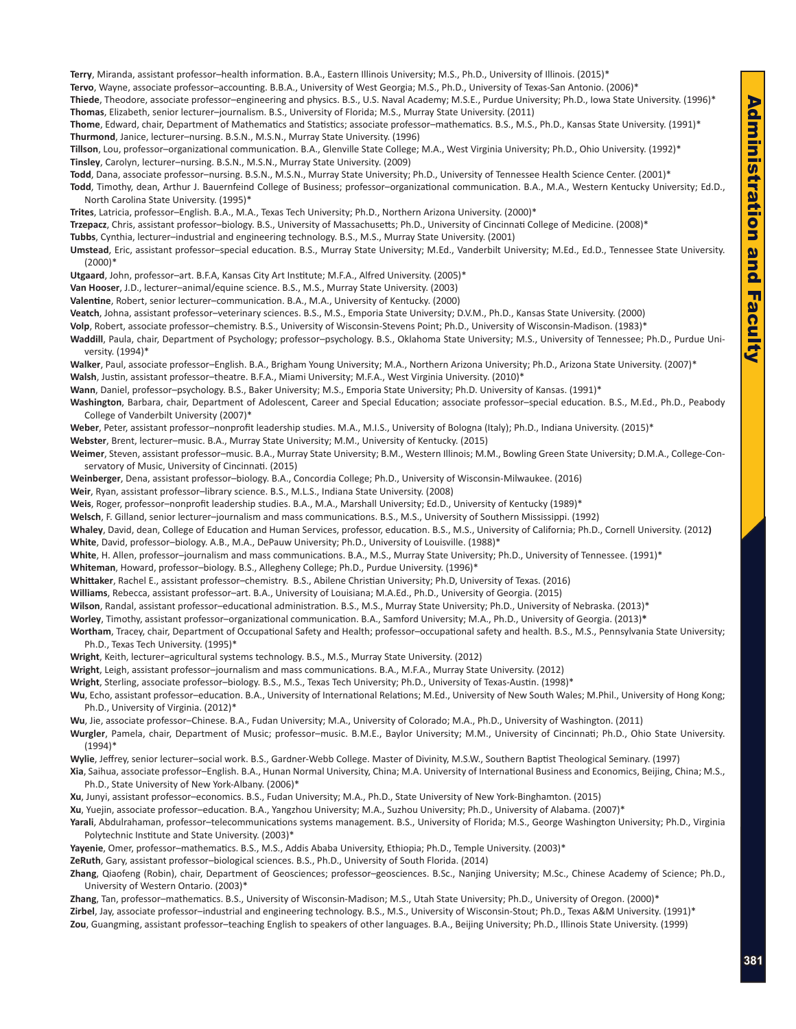- **Terry**, Miranda, assistant professor–health information. B.A., Eastern Illinois University; M.S., Ph.D., University of Illinois. (2015)\*
- **Tervo**, Wayne, associate professor–accounting. B.B.A., University of West Georgia; M.S., Ph.D., University of Texas-San Antonio. (2006)\*
- **Thiede**, Theodore, associate professor–engineering and physics. B.S., U.S. Naval Academy; M.S.E., Purdue University; Ph.D., Iowa State University. (1996)\* **Thomas**, Elizabeth, senior lecturer–journalism. B.S., University of Florida; M.S., Murray State University. (2011)
- **Thome**, Edward, chair, Department of Mathematics and Statistics; associate professor–mathematics. B.S., M.S., Ph.D., Kansas State University. (1991)\* **Thurmond**, Janice, lecturer–nursing. B.S.N., M.S.N., Murray State University. (1996)
- **Tillson**, Lou, professor–organizational communication. B.A., Glenville State College; M.A., West Virginia University; Ph.D., Ohio University. (1992)\* **Tinsley**, Carolyn, lecturer–nursing. B.S.N., M.S.N., Murray State University. (2009)
- **Todd**, Dana, associate professor–nursing. B.S.N., M.S.N., Murray State University; Ph.D., University of Tennessee Health Science Center. (2001)\*
- **Todd**, Timothy, dean, Arthur J. Bauernfeind College of Business; professor–organizational communication. B.A., M.A., Western Kentucky University; Ed.D., North Carolina State University. (1995)\*
- **Trites**, Latricia, professor–English. B.A., M.A., Texas Tech University; Ph.D., Northern Arizona University. (2000)\*
- **Trzepacz**, Chris, assistant professor–biology. B.S., University of Massachusetts; Ph.D., University of Cincinnati College of Medicine. (2008)\*
- **Tubbs**, Cynthia, lecturer–industrial and engineering technology. B.S., M.S., Murray State University. (2001)
- **Umstead**, Eric, assistant professor–special education. B.S., Murray State University; M.Ed., Vanderbilt University; M.Ed., Ed.D., Tennessee State University. (2000)\*
- **Utgaard**, John, professor–art. B.F.A, Kansas City Art Institute; M.F.A., Alfred University. (2005)\*
- **Van Hooser**, J.D., lecturer–animal/equine science. B.S., M.S., Murray State University. (2003)
- **Valentine**, Robert, senior lecturer–communication. B.A., M.A., University of Kentucky. (2000)
- **Veatch**, Johna, assistant professor–veterinary sciences. B.S., M.S., Emporia State University; D.V.M., Ph.D., Kansas State University. (2000)
- **Volp**, Robert, associate professor–chemistry. B.S., University of Wisconsin-Stevens Point; Ph.D., University of Wisconsin-Madison. (1983)\*
- **Waddill**, Paula, chair, Department of Psychology; professor–psychology. B.S., Oklahoma State University; M.S., University of Tennessee; Ph.D., Purdue University. (1994)\*
- **Walker**, Paul, associate professor–English. B.A., Brigham Young University; M.A., Northern Arizona University; Ph.D., Arizona State University. (2007)\* **Walsh**, Justin, assistant professor–theatre. B.F.A., Miami University; M.F.A., West Virginia University. (2010)\*
- **Wann**, Daniel, professor–psychology. B.S., Baker University; M.S., Emporia State University; Ph.D. University of Kansas. (1991)\*
- **Washington**, Barbara, chair, Department of Adolescent, Career and Special Education; associate professor–special education. B.S., M.Ed., Ph.D., Peabody College of Vanderbilt University (2007)\*
- Weber, Peter, assistant professor-nonprofit leadership studies. M.A., M.I.S., University of Bologna (Italy); Ph.D., Indiana University. (2015)\*
- **Webster**, Brent, lecturer–music. B.A., Murray State University; M.M., University of Kentucky. (2015)
- **Weimer**, Steven, assistant professor–music. B.A., Murray State University; B.M., Western Illinois; M.M., Bowling Green State University; D.M.A., College-Conservatory of Music, University of Cincinnati. (2015)
- **Weinberger**, Dena, assistant professor–biology. B.A., Concordia College; Ph.D., University of Wisconsin-Milwaukee. (2016)
- **Weir**, Ryan, assistant professor–library science. B.S., M.L.S., Indiana State University. (2008)
- Weis, Roger, professor–nonprofit leadership studies. B.A., M.A., Marshall University; Ed.D., University of Kentucky (1989)<sup>\*</sup>
- **Welsch**, F. Gilland, senior lecturer–journalism and mass communications. B.S., M.S., University of Southern Mississippi. (1992)
- **Whaley**, David, dean, College of Education and Human Services, professor, education. B.S., M.S., University of California; Ph.D., Cornell University. (2012**) White**, David, professor–biology. A.B., M.A., DePauw University; Ph.D., University of Louisville. (1988)\*
- **White**, H. Allen, professor–journalism and mass communications. B.A., M.S., Murray State University; Ph.D., University of Tennessee. (1991)\*
- **Whiteman**, Howard, professor–biology. B.S., Allegheny College; Ph.D., Purdue University. (1996)\*
- **Whittaker**, Rachel E., assistant professor–chemistry. B.S., Abilene Christian University; Ph.D, University of Texas. (2016)
- **Williams**, Rebecca, assistant professor–art. B.A., University of Louisiana; M.A.Ed., Ph.D., University of Georgia. (2015)
- **Wilson**, Randal, assistant professor–educational administration. B.S., M.S., Murray State University; Ph.D., University of Nebraska. (2013)\*
- **Worley**, Timothy, assistant professor–organizational communication. B.A., Samford University; M.A., Ph.D., University of Georgia. (2013)**\***
- **Wortham**, Tracey, chair, Department of Occupational Safety and Health; professor–occupational safety and health. B.S., M.S., Pennsylvania State University; Ph.D., Texas Tech University. (1995)\*
- **Wright**, Keith, lecturer–agricultural systems technology. B.S., M.S., Murray State University. (2012)
- **Wright**, Leigh, assistant professor–journalism and mass communications. B.A., M.F.A., Murray State University. (2012)
- **Wright**, Sterling, associate professor–biology. B.S., M.S., Texas Tech University; Ph.D., University of Texas-Austin. (1998)\*
- **Wu**, Echo, assistant professor–education. B.A., University of International Relations; M.Ed., University of New South Wales; M.Phil., University of Hong Kong; Ph.D., University of Virginia. (2012)\*
- **Wu**, Jie, associate professor–Chinese. B.A., Fudan University; M.A., University of Colorado; M.A., Ph.D., University of Washington. (2011)
- **Wurgler**, Pamela, chair, Department of Music; professor–music. B.M.E., Baylor University; M.M., University of Cincinnati; Ph.D., Ohio State University. (1994)\*
- **Wylie**, Jeffrey, senior lecturer–social work. B.S., Gardner-Webb College. Master of Divinity, M.S.W., Southern Baptist Theological Seminary. (1997)
- **Xia**, Saihua, associate professor–English. B.A., Hunan Normal University, China; M.A. University of International Business and Economics, Beijing, China; M.S., Ph.D., State University of New York-Albany. (2006)\*
- **Xu**, Junyi, assistant professor–economics. B.S., Fudan University; M.A., Ph.D., State University of New York-Binghamton. (2015)

**Xu**, Yuejin, associate professor–education. B.A., Yangzhou University; M.A., Suzhou University; Ph.D., University of Alabama. (2007)\*

- **Yarali**, Abdulrahaman, professor–telecommunications systems management. B.S., University of Florida; M.S., George Washington University; Ph.D., Virginia Polytechnic Institute and State University. (2003)\*
- **Yayenie**, Omer, professor–mathematics. B.S., M.S., Addis Ababa University, Ethiopia; Ph.D., Temple University. (2003)\*
- **ZeRuth**, Gary, assistant professor–biological sciences. B.S., Ph.D., University of South Florida. (2014)
- **Zhang**, Qiaofeng (Robin), chair, Department of Geosciences; professor–geosciences. B.Sc., Nanjing University; M.Sc., Chinese Academy of Science; Ph.D., University of Western Ontario. (2003)\*
- **Zhang**, Tan, professor–mathematics. B.S., University of Wisconsin-Madison; M.S., Utah State University; Ph.D., University of Oregon. (2000)\* **Zirbel**, Jay, associate professor–industrial and engineering technology. B.S., M.S., University of Wisconsin-Stout; Ph.D., Texas A&M University. (1991)\* **Zou**, Guangming, assistant professor–teaching English to speakers of other languages. B.A., Beijing University; Ph.D., Illinois State University. (1999)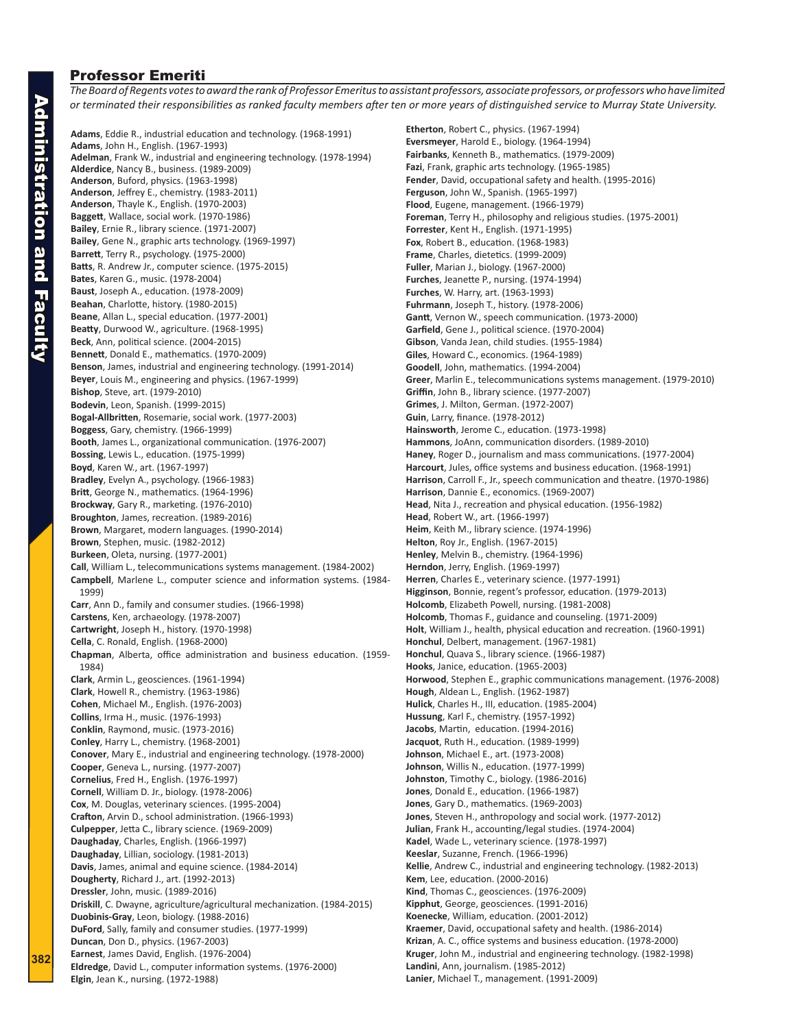## Professor Emeriti

*The Board of Regents votes to award the rank of Professor Emeritus to assistant professors, associate professors, or professors who have limited or terminated their responsibilities as ranked faculty members after ten or more years of distinguished service to Murray State University.*

**382**

**Adams**, Eddie R., industrial education and technology. (1968-1991) **Adams**, John H., English. (1967-1993) **Adelman**, Frank W., industrial and engineering technology. (1978-1994) **Alderdice**, Nancy B., business. (1989-2009) **Anderson**, Buford, physics. (1963-1998) **Anderson**, Jeffrey E., chemistry. (1983-2011) **Anderson**, Thayle K., English. (1970-2003) **Baggett**, Wallace, social work. (1970-1986) **Bailey**, Ernie R., library science. (1971-2007) **Bailey**, Gene N., graphic arts technology. (1969-1997) **Barrett**, Terry R., psychology. (1975-2000) **Batts**, R. Andrew Jr., computer science. (1975-2015) **Bates**, Karen G., music. (1978-2004) **Baust**, Joseph A., education. (1978-2009) **Beahan**, Charlotte, history. (1980-2015) **Beane**, Allan L., special education. (1977-2001) **Beatty**, Durwood W., agriculture. (1968-1995) **Beck**, Ann, political science. (2004-2015) **Bennett**, Donald E., mathematics. (1970-2009) **Benson**, James, industrial and engineering technology. (1991-2014) **Beyer**, Louis M., engineering and physics. (1967-1999) **Bishop**, Steve, art. (1979-2010) **Bodevin**, Leon, Spanish. (1999-2015) **Bogal-Allbritten**, Rosemarie, social work. (1977-2003) **Boggess**, Gary, chemistry. (1966-1999) **Booth**, James L., organizational communication. (1976-2007) **Bossing**, Lewis L., education. (1975-1999) **Boyd**, Karen W., art. (1967-1997) **Bradley**, Evelyn A., psychology. (1966-1983) **Britt**, George N., mathematics. (1964-1996) **Brockway**, Gary R., marketing. (1976-2010) **Broughton**, James, recreation. (1989-2016) **Brown**, Margaret, modern languages. (1990-2014) **Brown**, Stephen, music. (1982-2012) **Burkeen**, Oleta, nursing. (1977-2001) **Call**, William L., telecommunications systems management. (1984-2002) **Campbell**, Marlene L., computer science and information systems. (1984- 1999) **Carr**, Ann D., family and consumer studies. (1966-1998) **Carstens**, Ken, archaeology. (1978-2007) **Cartwright**, Joseph H., history. (1970-1998) **Cella**, C. Ronald, English. (1968-2000) **Chapman**, Alberta, office administration and business education. (1959- 1984) **Clark**, Armin L., geosciences. (1961-1994) **Clark**, Howell R., chemistry. (1963-1986) **Cohen**, Michael M., English. (1976-2003) **Collins**, Irma H., music. (1976-1993) **Conklin**, Raymond, music. (1973-2016) **Conley**, Harry L., chemistry. (1968-2001) **Conover**, Mary E., industrial and engineering technology. (1978-2000) **Cooper**, Geneva L., nursing. (1977-2007) **Cornelius**, Fred H., English. (1976-1997) **Cornell**, William D. Jr., biology. (1978-2006) **Cox**, M. Douglas, veterinary sciences. (1995-2004) **Crafton**, Arvin D., school administration. (1966-1993) **Culpepper**, Jetta C., library science. (1969-2009) **Daughaday**, Charles, English. (1966-1997) **Daughaday**, Lillian, sociology. (1981-2013) **Davis**, James, animal and equine science. (1984-2014) **Dougherty**, Richard J., art. (1992-2013) **Dressler**, John, music. (1989-2016) **Driskill**, C. Dwayne, agriculture/agricultural mechanization. (1984-2015) **Duobinis-Gray**, Leon, biology. (1988-2016) **DuFord**, Sally, family and consumer studies. (1977-1999) **Duncan**, Don D., physics. (1967-2003) **Earnest**, James David, English. (1976-2004) **Eldredge**, David L., computer information systems. (1976-2000) **Elgin**, Jean K., nursing. (1972-1988)

**Etherton**, Robert C., physics. (1967-1994) **Eversmeyer**, Harold E., biology. (1964-1994) **Fairbanks**, Kenneth B., mathematics. (1979-2009) **Fazi**, Frank, graphic arts technology. (1965-1985) **Fender**, David, occupational safety and health. (1995-2016) **Ferguson**, John W., Spanish. (1965-1997) **Flood**, Eugene, management. (1966-1979) **Foreman**, Terry H., philosophy and religious studies. (1975-2001) **Forrester**, Kent H., English. (1971-1995) **Fox**, Robert B., education. (1968-1983) **Frame**, Charles, dietetics. (1999-2009) **Fuller**, Marian J., biology. (1967-2000) **Furches**, Jeanette P., nursing. (1974-1994) **Furches**, W. Harry, art. (1963-1993) **Fuhrmann**, Joseph T., history. (1978-2006) **Gantt**, Vernon W., speech communication. (1973-2000) **Garfield**, Gene J., political science. (1970-2004) **Gibson**, Vanda Jean, child studies. (1955-1984) **Giles**, Howard C., economics. (1964-1989) **Goodell**, John, mathematics. (1994-2004) **Greer**, Marlin E., telecommunications systems management. (1979-2010) **Griffin**, John B., library science. (1977-2007) **Grimes**, J. Milton, German. (1972-2007) **Guin**, Larry, finance. (1978-2012) **Hainsworth**, Jerome C., education. (1973-1998) **Hammons**, JoAnn, communication disorders. (1989-2010) **Haney**, Roger D., journalism and mass communications. (1977-2004) **Harcourt**, Jules, office systems and business education. (1968-1991) **Harrison**, Carroll F., Jr., speech communication and theatre. (1970-1986) **Harrison**, Dannie E., economics. (1969-2007) **Head**, Nita J., recreation and physical education. (1956-1982) **Head**, Robert W., art. (1966-1997) **Heim**, Keith M., library science. (1974-1996) **Helton**, Roy Jr., English. (1967-2015) **Henley**, Melvin B., chemistry. (1964-1996) **Herndon**, Jerry, English. (1969-1997) **Herren**, Charles E., veterinary science. (1977-1991) **Higginson**, Bonnie, regent's professor, education. (1979-2013) **Holcomb**, Elizabeth Powell, nursing. (1981-2008) **Holcomb**, Thomas F., guidance and counseling. (1971-2009) **Holt**, William J., health, physical education and recreation. (1960-1991) **Honchul**, Delbert, management. (1967-1981) **Honchul**, Quava S., library science. (1966-1987) **Hooks**, Janice, education. (1965-2003) **Horwood**, Stephen E., graphic communications management. (1976-2008) **Hough**, Aldean L., English. (1962-1987) **Hulick**, Charles H., III, education. (1985-2004) **Hussung**, Karl F., chemistry. (1957-1992) **Jacobs**, Martin, education. (1994-2016) **Jacquot**, Ruth H., education. (1989-1999) **Johnson**, Michael E., art. (1973-2008) **Johnson**, Willis N., education. (1977-1999) **Johnston**, Timothy C., biology. (1986-2016) **Jones**, Donald E., education. (1966-1987) **Jones**, Gary D., mathematics. (1969-2003) **Jones**, Steven H., anthropology and social work. (1977-2012) **Julian**, Frank H., accounting/legal studies. (1974-2004) **Kadel**, Wade L., veterinary science. (1978-1997) **Keeslar**, Suzanne, French. (1966-1996) **Kellie**, Andrew C., industrial and engineering technology. (1982-2013) **Kem**, Lee, education. (2000-2016) **Kind**, Thomas C., geosciences. (1976-2009) **Kipphut**, George, geosciences. (1991-2016) **Koenecke**, William, education. (2001-2012) **Kraemer**, David, occupational safety and health. (1986-2014) **Krizan**, A. C., office systems and business education. (1978-2000) **Kruger**, John M., industrial and engineering technology. (1982-1998) **Landini**, Ann, journalism. (1985-2012) **Lanier**, Michael T., management. (1991-2009)